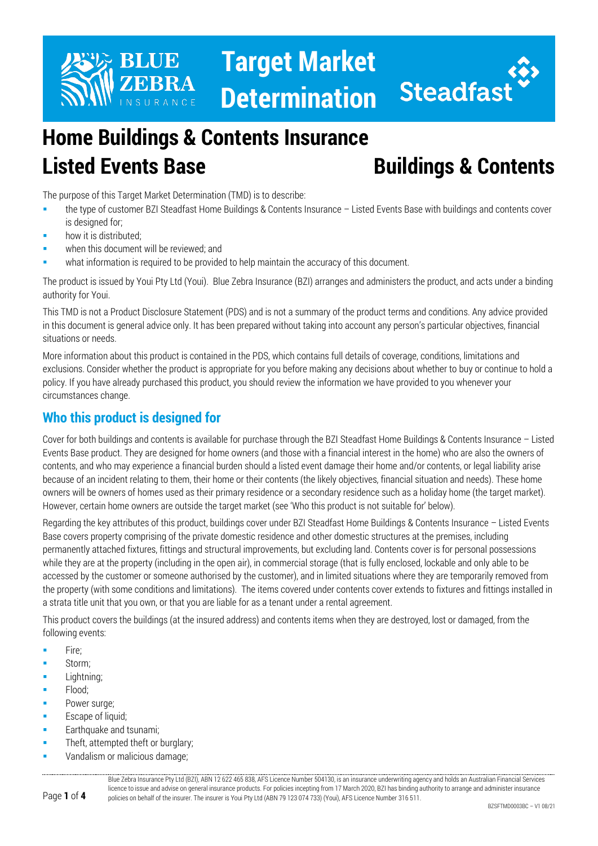

# **Target Market Determination**



## **Home Buildings & Contents Insurance Listed Events Base Buildings & Contents**

The purpose of this Target Market Determination (TMD) is to describe:

- the type of customer BZI Steadfast Home Buildings & Contents Insurance Listed Events Base with buildings and contents cover is designed for;
- how it is distributed;
- when this document will be reviewed; and
- what information is required to be provided to help maintain the accuracy of this document.

The product is issued by Youi Pty Ltd (Youi). Blue Zebra Insurance (BZI) arranges and administers the product, and acts under a binding authority for Youi.

This TMD is not a Product Disclosure Statement (PDS) and is not a summary of the product terms and conditions. Any advice provided in this document is general advice only. It has been prepared without taking into account any person's particular objectives, financial situations or needs.

More information about this product is contained in the PDS, which contains full details of coverage, conditions, limitations and exclusions. Consider whether the product is appropriate for you before making any decisions about whether to buy or continue to hold a policy. If you have already purchased this product, you should review the information we have provided to you whenever your circumstances change.

### **Who this product is designed for**

Cover for both buildings and contents is available for purchase through the BZI Steadfast Home Buildings & Contents Insurance – Listed Events Base product. They are designed for home owners (and those with a financial interest in the home) who are also the owners of contents, and who may experience a financial burden should a listed event damage their home and/or contents, or legal liability arise because of an incident relating to them, their home or their contents (the likely objectives, financial situation and needs). These home owners will be owners of homes used as their primary residence or a secondary residence such as a holiday home (the target market). However, certain home owners are outside the target market (see 'Who this product is not suitable for' below).

Regarding the key attributes of this product, buildings cover under BZI Steadfast Home Buildings & Contents Insurance – Listed Events Base covers property comprising of the private domestic residence and other domestic structures at the premises, including permanently attached fixtures, fittings and structural improvements, but excluding land. Contents cover is for personal possessions while they are at the property (including in the open air), in commercial storage (that is fully enclosed, lockable and only able to be accessed by the customer or someone authorised by the customer), and in limited situations where they are temporarily removed from the property (with some conditions and limitations). The items covered under contents cover extends to fixtures and fittings installed in a strata title unit that you own, or that you are liable for as a tenant under a rental agreement.

This product covers the buildings (at the insured address) and contents items when they are destroyed, lost or damaged, from the following events:

- $Fire:$
- Storm;
- Lightning;
- Flood;
- Power surge:
- Escape of liquid;
- Earthquake and tsunami;
- Theft, attempted theft or burglary;
- Vandalism or malicious damage;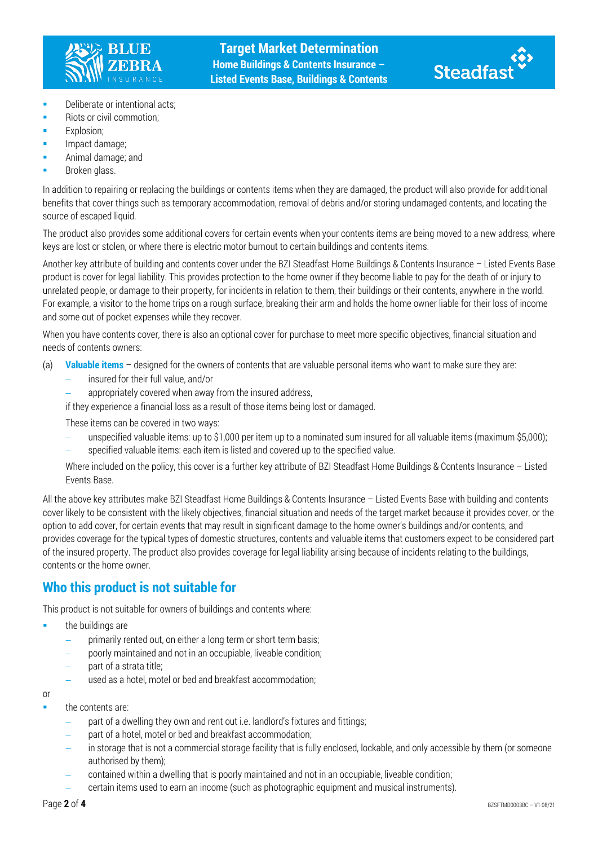



- **Deliberate or intentional acts;**
- Riots or civil commotion:
- Explosion;
- Impact damage;
- Animal damage; and
- Broken glass.

In addition to repairing or replacing the buildings or contents items when they are damaged, the product will also provide for additional benefits that cover things such as temporary accommodation, removal of debris and/or storing undamaged contents, and locating the source of escaped liquid.

The product also provides some additional covers for certain events when your contents items are being moved to a new address, where keys are lost or stolen, or where there is electric motor burnout to certain buildings and contents items.

Another key attribute of building and contents cover under the BZI Steadfast Home Buildings & Contents Insurance – Listed Events Base product is cover for legal liability. This provides protection to the home owner if they become liable to pay for the death of or injury to unrelated people, or damage to their property, for incidents in relation to them, their buildings or their contents, anywhere in the world. For example, a visitor to the home trips on a rough surface, breaking their arm and holds the home owner liable for their loss of income and some out of pocket expenses while they recover.

When you have contents cover, there is also an optional cover for purchase to meet more specific objectives, financial situation and needs of contents owners:

- (a) **Valuable items** designed for the owners of contents that are valuable personal items who want to make sure they are:
	- − insured for their full value, and/or
	- appropriately covered when away from the insured address,

if they experience a financial loss as a result of those items being lost or damaged.

These items can be covered in two ways:

- − unspecified valuable items: up to \$1,000 per item up to a nominated sum insured for all valuable items (maximum \$5,000);
- − specified valuable items: each item is listed and covered up to the specified value.

Where included on the policy, this cover is a further key attribute of BZI Steadfast Home Buildings & Contents Insurance – Listed Events Base.

All the above key attributes make BZI Steadfast Home Buildings & Contents Insurance – Listed Events Base with building and contents cover likely to be consistent with the likely objectives, financial situation and needs of the target market because it provides cover, or the option to add cover, for certain events that may result in significant damage to the home owner's buildings and/or contents, and provides coverage for the typical types of domestic structures, contents and valuable items that customers expect to be considered part of the insured property. The product also provides coverage for legal liability arising because of incidents relating to the buildings, contents or the home owner.

#### **Who this product is not suitable for**

This product is not suitable for owners of buildings and contents where:

- the buildings are
	- − primarily rented out, on either a long term or short term basis;
	- poorly maintained and not in an occupiable, liveable condition;
	- − part of a strata title;
	- used as a hotel, motel or bed and breakfast accommodation;

or

- the contents are:
	- part of a dwelling they own and rent out i.e. landlord's fixtures and fittings;
	- part of a hotel, motel or bed and breakfast accommodation;
	- in storage that is not a commercial storage facility that is fully enclosed, lockable, and only accessible by them (or someone authorised by them);
	- contained within a dwelling that is poorly maintained and not in an occupiable, liveable condition;
	- − certain items used to earn an income (such as photographic equipment and musical instruments).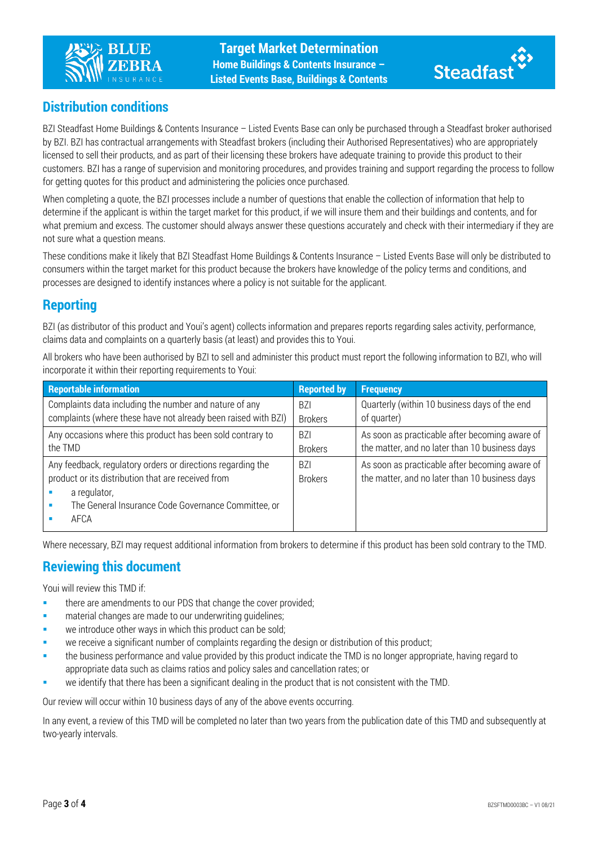



#### **Distribution conditions**

BZI Steadfast Home Buildings & Contents Insurance – Listed Events Base can only be purchased through a Steadfast broker authorised by BZI. BZI has contractual arrangements with Steadfast brokers (including their Authorised Representatives) who are appropriately licensed to sell their products, and as part of their licensing these brokers have adequate training to provide this product to their customers. BZI has a range of supervision and monitoring procedures, and provides training and support regarding the process to follow for getting quotes for this product and administering the policies once purchased.

When completing a quote, the BZI processes include a number of questions that enable the collection of information that help to determine if the applicant is within the target market for this product, if we will insure them and their buildings and contents, and for what premium and excess. The customer should always answer these questions accurately and check with their intermediary if they are not sure what a question means.

These conditions make it likely that BZI Steadfast Home Buildings & Contents Insurance – Listed Events Base will only be distributed to consumers within the target market for this product because the brokers have knowledge of the policy terms and conditions, and processes are designed to identify instances where a policy is not suitable for the applicant.

#### **Reporting**

BZI (as distributor of this product and Youi's agent) collects information and prepares reports regarding sales activity, performance, claims data and complaints on a quarterly basis (at least) and provides this to Youi.

All brokers who have been authorised by BZI to sell and administer this product must report the following information to BZI, who will incorporate it within their reporting requirements to Youi:

| <b>Reportable information</b>                                  | <b>Reported by</b> | <b>Frequency</b>                               |
|----------------------------------------------------------------|--------------------|------------------------------------------------|
| Complaints data including the number and nature of any         | <b>BZI</b>         | Quarterly (within 10 business days of the end  |
| complaints (where these have not already been raised with BZI) | <b>Brokers</b>     | of quarter)                                    |
| Any occasions where this product has been sold contrary to     | <b>BZI</b>         | As soon as practicable after becoming aware of |
| the TMD                                                        | <b>Brokers</b>     | the matter, and no later than 10 business days |
| Any feedback, regulatory orders or directions regarding the    | <b>BZI</b>         | As soon as practicable after becoming aware of |
| product or its distribution that are received from             | <b>Brokers</b>     | the matter, and no later than 10 business days |
| a regulator,                                                   |                    |                                                |
| The General Insurance Code Governance Committee, or            |                    |                                                |
| AFCA                                                           |                    |                                                |

Where necessary, BZI may request additional information from brokers to determine if this product has been sold contrary to the TMD.

#### **Reviewing this document**

Youi will review this TMD if:

- **there are amendments to our PDS that change the cover provided;**
- **EXECUTE:** material changes are made to our underwriting quidelines;
- we introduce other ways in which this product can be sold;
- we receive a significant number of complaints regarding the design or distribution of this product;
- the business performance and value provided by this product indicate the TMD is no longer appropriate, having regard to appropriate data such as claims ratios and policy sales and cancellation rates; or
- we identify that there has been a significant dealing in the product that is not consistent with the TMD.

Our review will occur within 10 business days of any of the above events occurring.

In any event, a review of this TMD will be completed no later than two years from the publication date of this TMD and subsequently at two-yearly intervals.